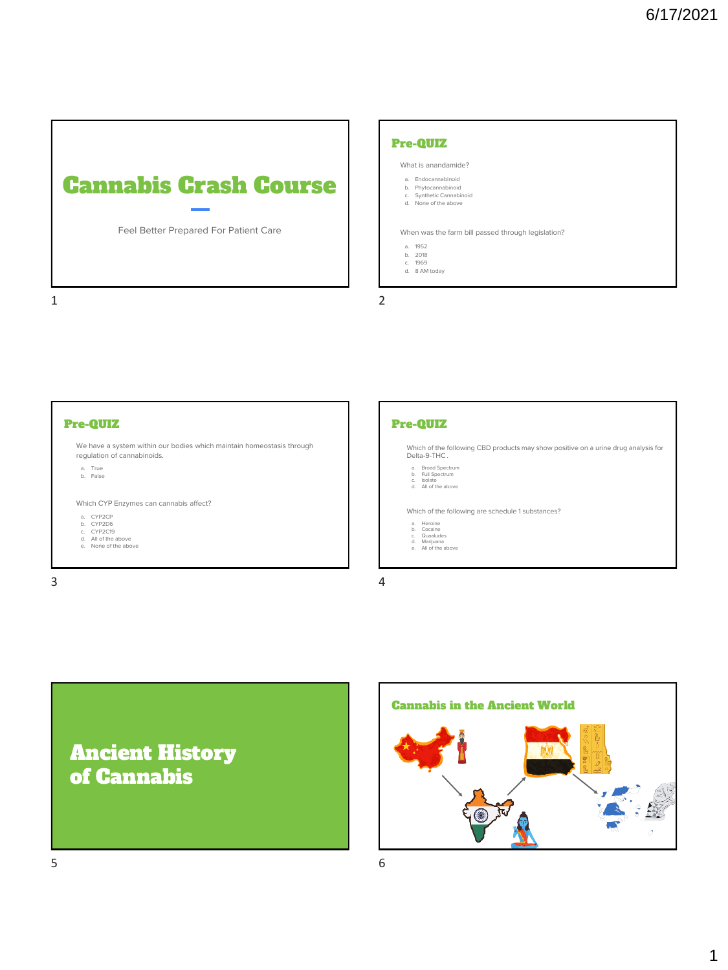

### Pre-QUIZ

What is anandamide?

- a. Endocannabinoid b. Phytocannabinoid
- c. Synthetic Cannabinoid d. None of the above

When was the farm bill passed through legislation?

- 
- 
- a. 1952 b. 2018 c. 1969 d. 8 AM today

1 2





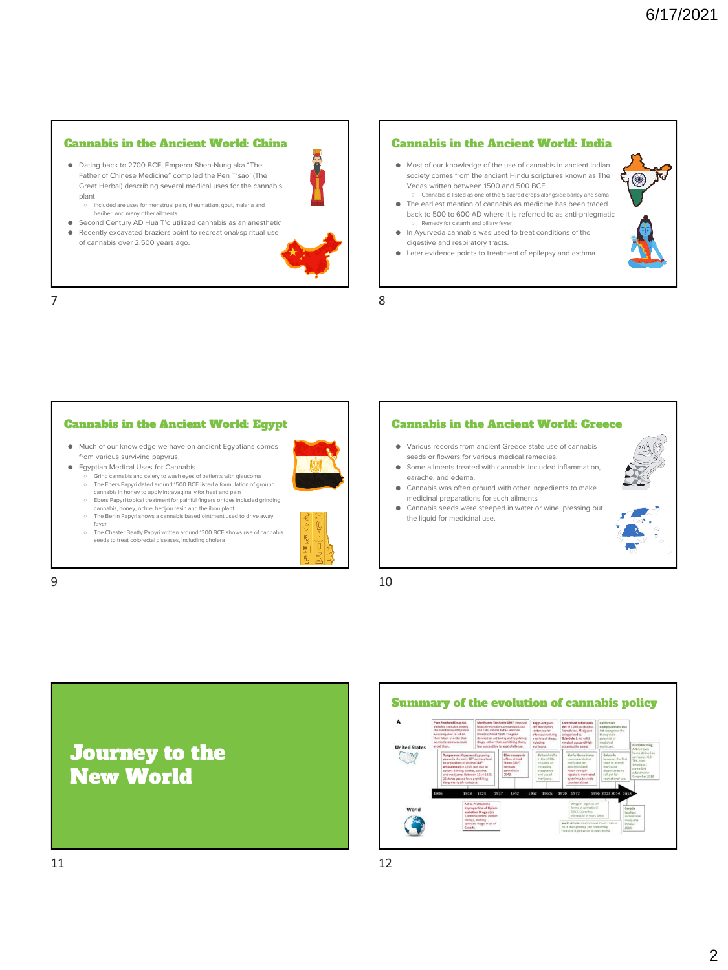### Cannabis in the Ancient World: China

● Dating back to 2700 BCE, Emperor Shen-Nung aka "The Father of Chinese Medicine" compiled the Pen T'sao' (The Great Herbal) describing several medical uses for the cannabis plant ○ Included are uses for menstrual pain, rheumatism, gout, malaria and

beriberi and many other ailments

- Second Century AD Hua T'o utilized cannabis as an anesthetic ● Recently excavated braziers point to recreational/spiritual use
- of cannabis over 2,500 years ago.



7 8

## Cannabis in the Ancient World: India

- Most of our knowledge of the use of cannabis in ancient Indian society comes from the ancient Hindu scriptures known as The Vedas written between 1500 and 500 BCE. ○ Cannabis is listed as one of the 5 sacred crops alongside barley and soma
- The earliest mention of cannabis as medicine has been traced back to 500 to 600 AD where it is referred to as anti-phlegmatic Remedy for catarrh and biliary fever
- In Ayurveda cannabis was used to treat conditions of the digestive and respiratory tracts.
- Later evidence points to treatment of epilepsy and asthma

### Cannabis in the Ancient World: Egypt

● Much of our knowledge we have on ancient Egyptians comes from various surviving papyrus.

● Egyptian Medical Uses for Cannabis .<br>Grind cannabis and celery to wash eyes of patients with glaucoma

- The Ebers Papyri dated around 1500 BCE listed a formulation of ground cannabis in honey to apply intravaginally for heat and pain
- Ebers Papyri topical treatment for painful fingers or toes included grinding cannabis, honey, ochre, hedjou resin and the ibou plant
- The Berlin Papyri shows a cannabis based ointment used to drive away
- fever The Chester Beatty Papyri written around 1300 BCE shows use of cannabis seeds to treat colorectal diseases, including cholera



### Cannabis in the Ancient World: Greece

- Various records from ancient Greece state use of cannabis seeds or flowers for various medical remedies.
- Some ailments treated with cannabis included inflammation, earache, and edema.
- Cannabis was often ground with other ingredients to make medicinal preparations for such ailments
- Cannabis seeds were steeped in water or wine, pressing out the liquid for medicinal use.



 $9 \hspace{2.5cm} 10$ 



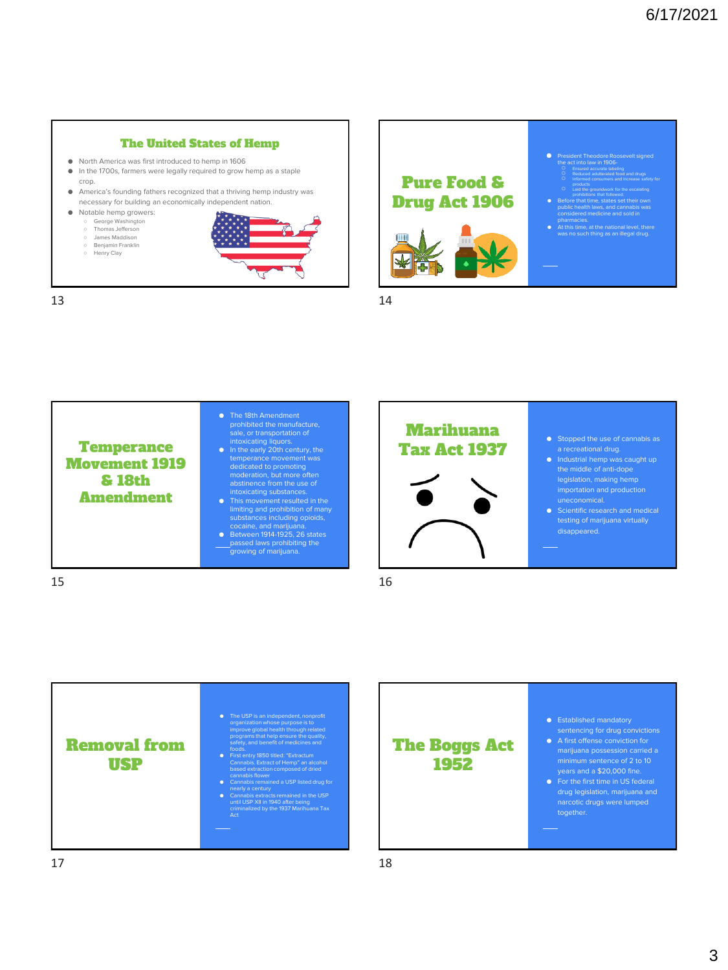### The United States of Hemp

- North America was first introduced to hemp in 1606
- In the 1700s, farmers were legally required to grow hemp as a staple crop.
- America's founding fathers recognized that a thriving hemp industry was necessary for building an economically independent nation.
- Notable hemp growers:
	- George Washington<br>○ Thomas Jefferson
	- James Maddison
	- Benjamin Franklin Henry Clay



13 14





 $15$  16



### The Boggs Act 1952

- 
- A first offense conviction for minimum sentence of 2 to 10
- drug legislation, marijuana and narcotic drugs were lumped together.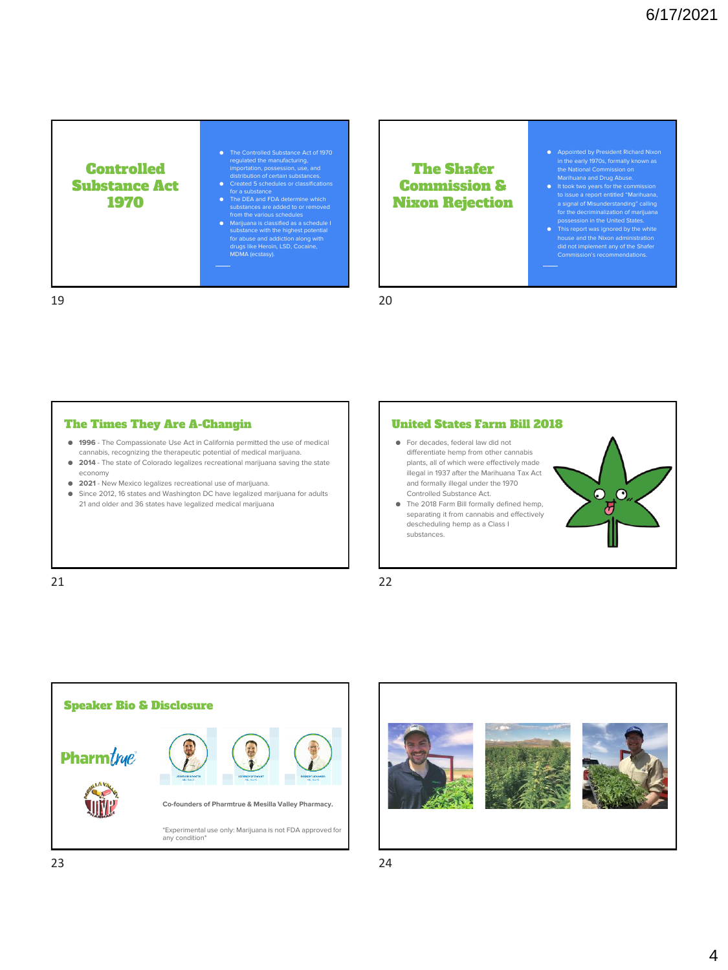Controlled Substance Act 1970

- The Controlled Substance Act of 1970<br>
regulated the manufacturing,<br>
importation, possession, use, and<br>
distribution of certain substances.<br>
 Created 5 schedules or classifications
- for a substance The DEA and FDA determine which substances are added to or removed
- from the various schedules<br>
 Marijuana is classified as a schedule I<br>
substance with the highest potential<br>
for abuse and addiction along with<br>
drugs like Heroin, LSD, Cocaine,<br>
MDMA (ecstasy).

### The Shafer Commission & Nixon Rejection

- Appointed by President Richard Nixon in the early 1970s, formally known as
- the National Commission on<br>
Marihuana and Drug Abuse.<br>
 It took two years for the commission<br>
to issue a report entitled "Marihuana,<br>
a signal of Misunderstanding" calling
- for the decriminalization of marijuana<br>
possession in the United States.<br>
 This report was ignored by the white<br>
house and the Nixon administration<br>
did not implement any of the Shafer<br>
Commission's recommendations.

19 20

### The Times They Are A-Changin

- **1996** The Compassionate Use Act in California permitted the use of medical cannabis, recognizing the therapeutic potential of medical marijuana.
- **2014** The state of Colorado legalizes recreational marijuana saving the state economy
- **2021** New Mexico legalizes recreational use of marijuana.
- Since 2012, 16 states and Washington DC have legalized marijuana for adults 21 and older and 36 states have legalized medical marijuana

### United States Farm Bill 2018

- For decades, federal law did not differentiate hemp from other cannabis plants, all of which were effectively made illegal in 1937 after the Marihuana Tax Act and formally illegal under the 1970 Controlled Substance Act.
- The 2018 Farm Bill formally defined hemp, separating it from cannabis and effectively descheduling hemp as a Class I substances.



21 22





23 24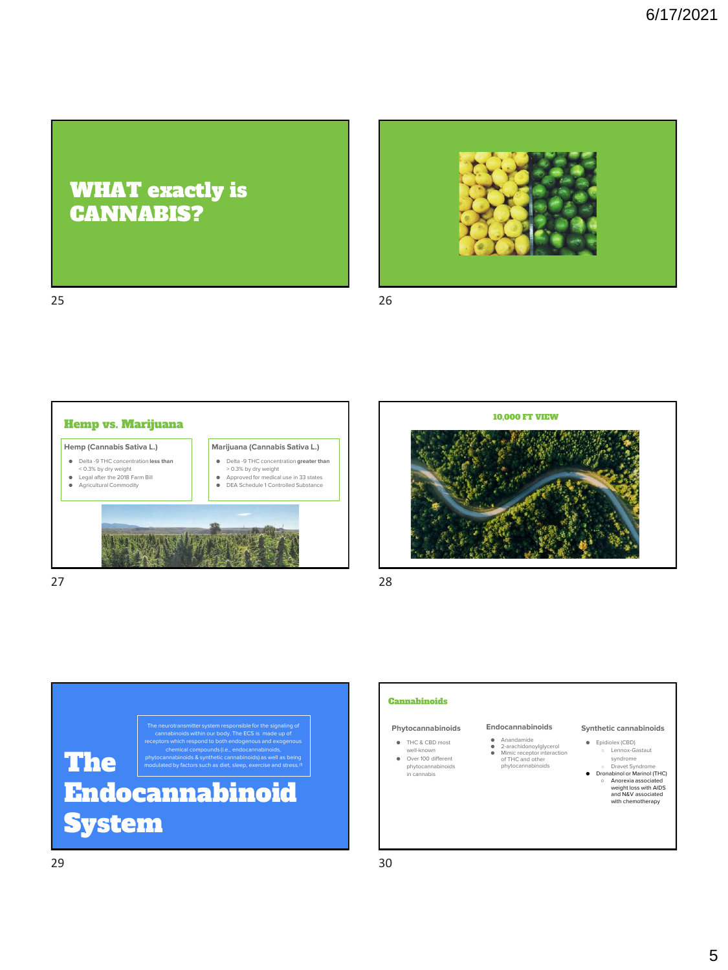## WHAT exactly is CANNABIS?



25 26









## **Cannabinoids**

### **Phytocannabinoids**

● THC & CBD most well-known ● Over 100 different phytocannabinoids in cannabis

### **Endocannabinoids**

● Anandamide<br>● 2-arachidonoylglycerol<br>● Mimic receptor interaction<br>of THC and other<br>phytocannabinoids

### **Synthetic cannabinoids**

- Epidiolex (CBD) ○ Lennox-Gastaut
- syndrome<br>○ Dravet Syndrome<br>● Dronabinol or Marinol (THC) ○ Anorexia associated weight loss with AIDS and N&V associated with chemotherapy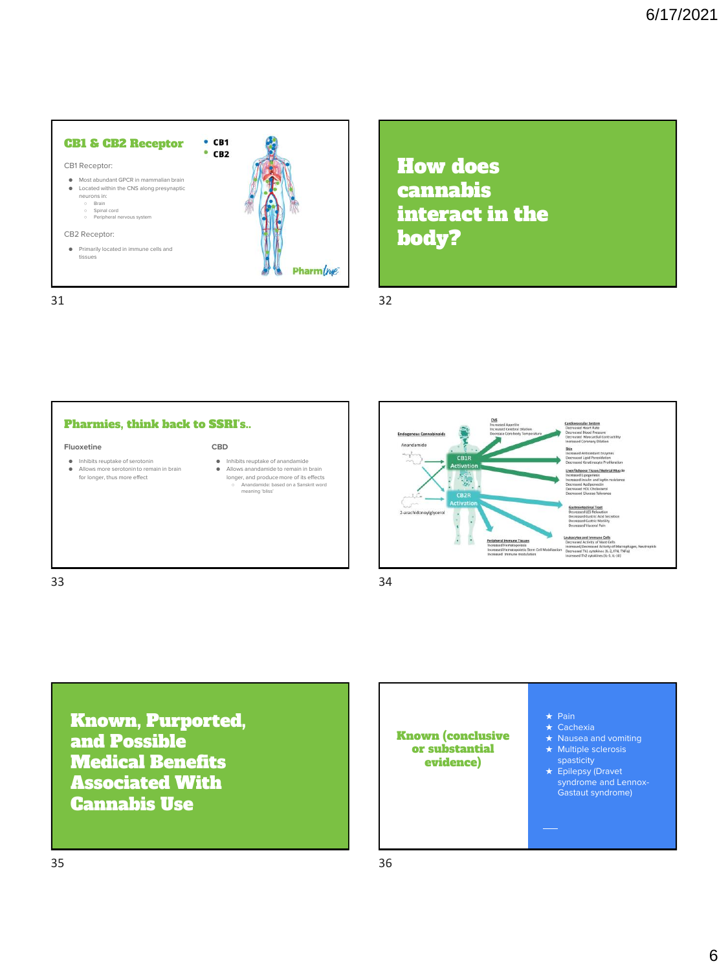

How does cannabis interact in the body?





Known, Purported, and Possible Medical Benefits Associated With Cannabis Use

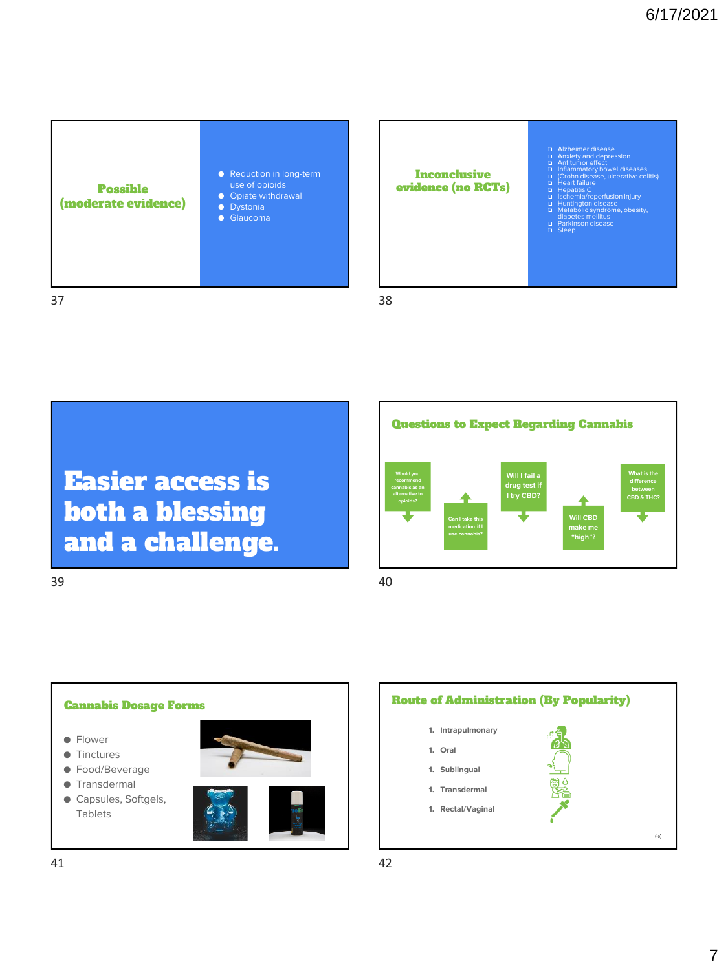









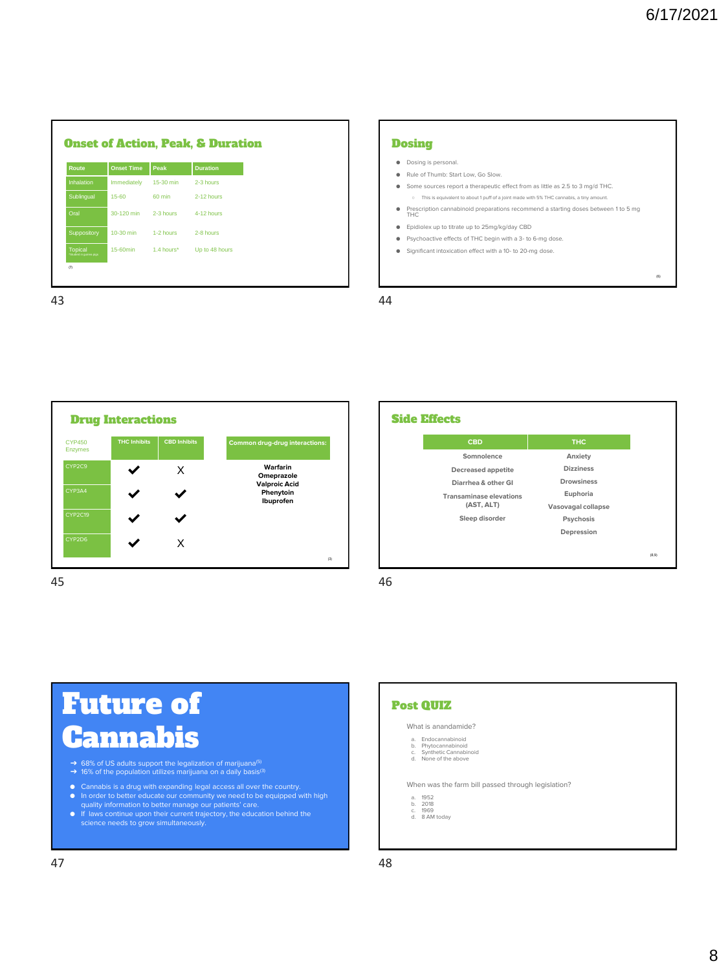(6)

٦

| Route                                    | <b>Onset Time</b> | Peak       | <b>Duration</b> |  |
|------------------------------------------|-------------------|------------|-----------------|--|
| <b>Inhalation</b>                        | Immediately       | 15-30 min  | 2-3 hours       |  |
| Sublingual                               | $15 - 60$         | 60 min     | 2-12 hours      |  |
| Oral                                     | 30-120 min        | 2-3 hours  | 4-12 hours      |  |
| Suppository                              | 10-30 min         | 1-2 hours  | 2-8 hours       |  |
| <b>Topical</b><br>Studied in guinea pigs | 15-60min          | 1.4 hours* | Up to 48 hours  |  |
| $\sigma$                                 |                   |            |                 |  |

### **Dosing**

- Dosing is personal.
- Rule of Thumb: Start Low, Go Slow.
- Some sources report a therapeutic effect from as little as 2.5 to 3 mg/d THC. ○ This is equivalent to about 1 puff of a joint made with 5% THC cannabis, a tiny amount.
- Prescription cannabinoid preparations recommend a starting doses between 1 to 5 mg THC
- Epidiolex up to titrate up to 25mg/kg/day CBD
- Psychoactive effects of THC begin with a 3- to 6-mg dose.
- Significant intoxication effect with a 10- to 20-mg dose.

Г



| <b>CBD</b>                     | <b>THC</b>         |
|--------------------------------|--------------------|
| Somnolence                     | Anxiety            |
| Decreased appetite             | <b>Dizziness</b>   |
| Diarrhea & other GI            | <b>Drowsiness</b>  |
| <b>Transaminase elevations</b> | Euphoria           |
| (AST, ALT)                     | Vasovagal collapse |
| Sleep disorder                 | Psychosis          |
|                                | Depression         |
|                                |                    |
|                                |                    |

45 46

# Future of Cannabis

- → 68% of US adults support the legalization of marijuana<sup>(5)</sup><br>→ 16% of the population utilizes marijuana on a daily basis<sup>(3)</sup>
- 
- Cannabis is a drug with expanding legal access all over the country.<br>• In order to better educate our community we need to be equipped with high quality information to better manage our patients' care.<br>• If laws continue
- 



What is anandamide?

- a. Endocannabinoid b. Phytocannabinoid c. Synthetic Cannabinoid d. None of the above
- 
- 

When was the farm bill passed through legislation?

- 
- a. 1952 b. 2018 c. 1969 d. 8 AM today
-